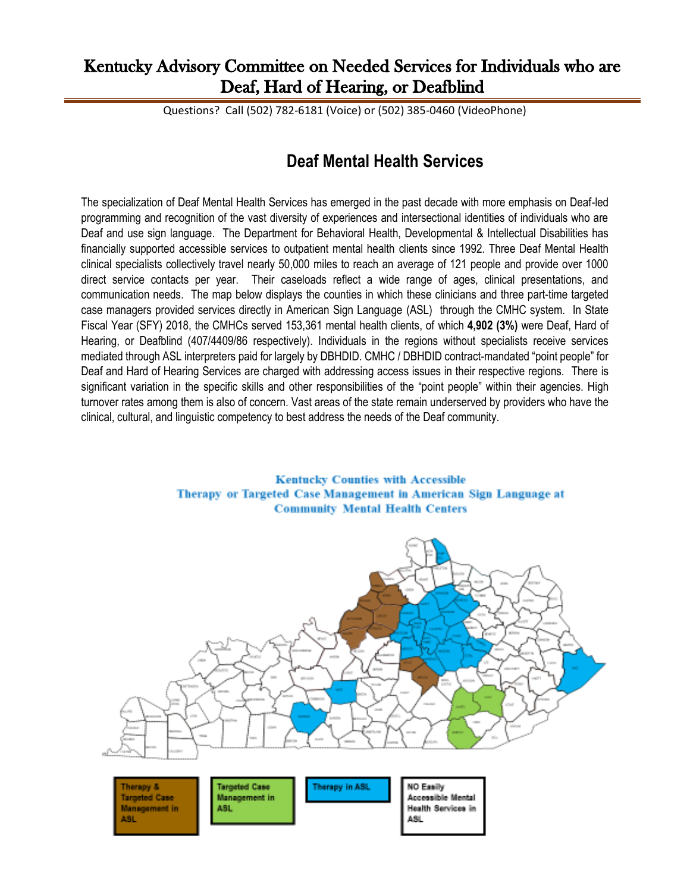## Kentucky Advisory Committee on Needed Services for Individuals who are Deaf, Hard of Hearing, or Deafblind

Questions? Call (502) 782-6181 (Voice) or (502) 385-0460 (VideoPhone)

## **Deaf Mental Health Services**

The specialization of Deaf Mental Health Services has emerged in the past decade with more emphasis on Deaf-led programming and recognition of the vast diversity of experiences and intersectional identities of individuals who are Deaf and use sign language. The Department for Behavioral Health, Developmental & Intellectual Disabilities has financially supported accessible services to outpatient mental health clients since 1992. Three Deaf Mental Health clinical specialists collectively travel nearly 50,000 miles to reach an average of 121 people and provide over 1000 direct service contacts per year. Their caseloads reflect a wide range of ages, clinical presentations, and communication needs. The map below displays the counties in which these clinicians and three part-time targeted case managers provided services directly in American Sign Language (ASL) through the CMHC system. In State Fiscal Year (SFY) 2018, the CMHCs served 153,361 mental health clients, of which **4,902 (3%)** were Deaf, Hard of Hearing, or Deafblind (407/4409/86 respectively). Individuals in the regions without specialists receive services mediated through ASL interpreters paid for largely by DBHDID. CMHC / DBHDID contract-mandated "point people" for Deaf and Hard of Hearing Services are charged with addressing access issues in their respective regions. There is significant variation in the specific skills and other responsibilities of the "point people" within their agencies. High turnover rates among them is also of concern. Vast areas of the state remain underserved by providers who have the clinical, cultural, and linguistic competency to best address the needs of the Deaf community.